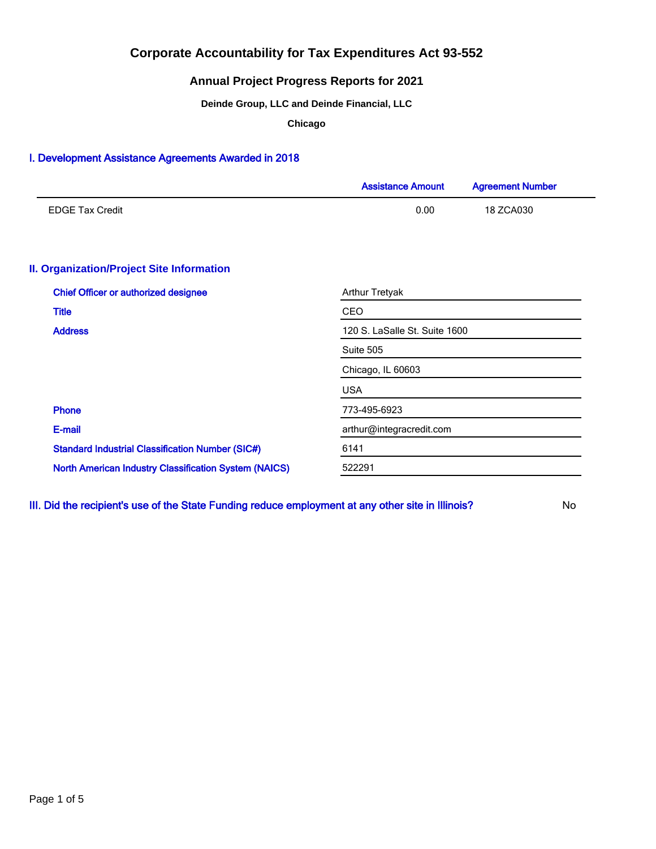### **Annual Project Progress Reports for 2021**

**Deinde Group, LLC and Deinde Financial, LLC**

**Chicago**

### I. Development Assistance Agreements Awarded in 2018

|                                                              | <b>Assistance Amount</b>      | <b>Agreement Number</b> |  |  |  |
|--------------------------------------------------------------|-------------------------------|-------------------------|--|--|--|
| <b>EDGE Tax Credit</b>                                       | 0.00                          | 18 ZCA030               |  |  |  |
| <b>II. Organization/Project Site Information</b>             |                               |                         |  |  |  |
| <b>Chief Officer or authorized designee</b>                  | <b>Arthur Tretyak</b>         |                         |  |  |  |
| <b>Title</b>                                                 | CEO                           |                         |  |  |  |
| <b>Address</b>                                               | 120 S. LaSalle St. Suite 1600 |                         |  |  |  |
|                                                              | Suite 505                     |                         |  |  |  |
|                                                              | Chicago, IL 60603             |                         |  |  |  |
|                                                              | <b>USA</b>                    |                         |  |  |  |
| <b>Phone</b>                                                 | 773-495-6923                  |                         |  |  |  |
| E-mail                                                       | arthur@integracredit.com      |                         |  |  |  |
| <b>Standard Industrial Classification Number (SIC#)</b>      | 6141                          |                         |  |  |  |
| <b>North American Industry Classification System (NAICS)</b> | 522291                        |                         |  |  |  |

III. Did the recipient's use of the State Funding reduce employment at any other site in Illinois? No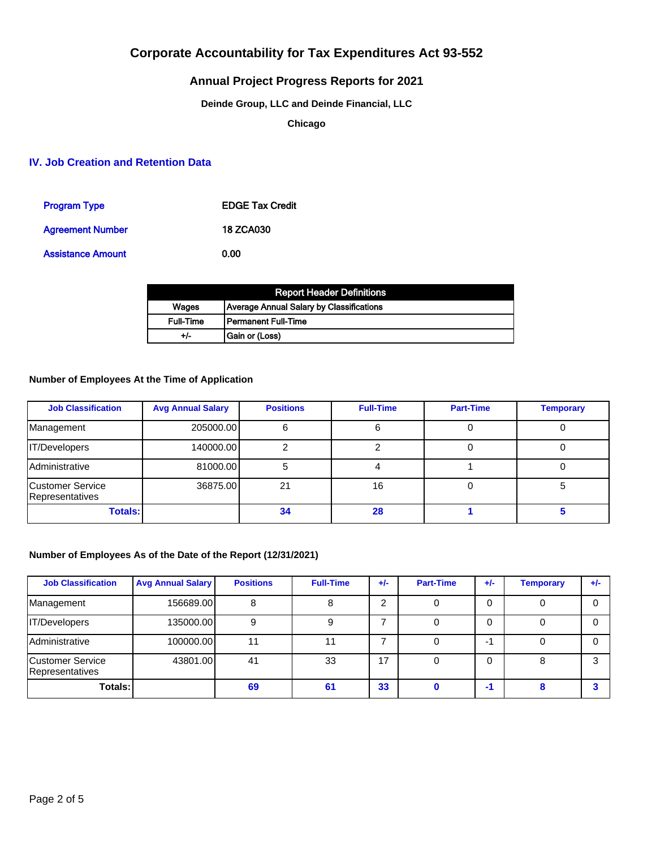## **Annual Project Progress Reports for 2021**

### **Deinde Group, LLC and Deinde Financial, LLC**

**Chicago**

### **IV. Job Creation and Retention Data**

| <b>Program Type</b>      | <b>EDGE Tax Credit</b> |
|--------------------------|------------------------|
| <b>Agreement Number</b>  | <b>18 ZCA030</b>       |
| <b>Assistance Amount</b> | 0.00                   |

|           | <b>Report Header Definitions</b>         |
|-----------|------------------------------------------|
| Wages     | Average Annual Salary by Classifications |
| Full-Time | l Permanent Full-Time                    |
| +/-       | Gain or (Loss)                           |

#### **Number of Employees At the Time of Application**

| <b>Job Classification</b>           | <b>Avg Annual Salary</b> | <b>Positions</b> | <b>Full-Time</b> | <b>Part-Time</b> | <b>Temporary</b> |
|-------------------------------------|--------------------------|------------------|------------------|------------------|------------------|
| Management                          | 205000.00                |                  |                  |                  |                  |
| <b>IT/Developers</b>                | 140000.00                |                  |                  |                  |                  |
| Administrative                      | 81000.00                 |                  |                  |                  |                  |
| Customer Service<br>Representatives | 36875.00                 | 21               | 16               |                  |                  |
| <b>Totals:</b>                      |                          | 34               | 28               |                  |                  |

### **Number of Employees As of the Date of the Report (12/31/2021)**

| <b>Job Classification</b>                   | <b>Avg Annual Salary</b> | <b>Positions</b> | <b>Full-Time</b> | $+/-$ | <b>Part-Time</b> | $+/-$ | <b>Temporary</b> | $+/-$ |
|---------------------------------------------|--------------------------|------------------|------------------|-------|------------------|-------|------------------|-------|
| Management                                  | 156689.00                |                  |                  | ົ     |                  |       |                  | 0     |
| IT/Developers                               | 135000.00                |                  |                  |       |                  |       |                  |       |
| Administrative                              | 100000.00                |                  |                  |       |                  | -1    |                  |       |
| <b>ICustomer Service</b><br>Representatives | 43801.00                 | 41               | 33               | 17    |                  |       |                  | ີ     |
| Totals:                                     |                          | 69               | 61               | 33    |                  | -1    |                  |       |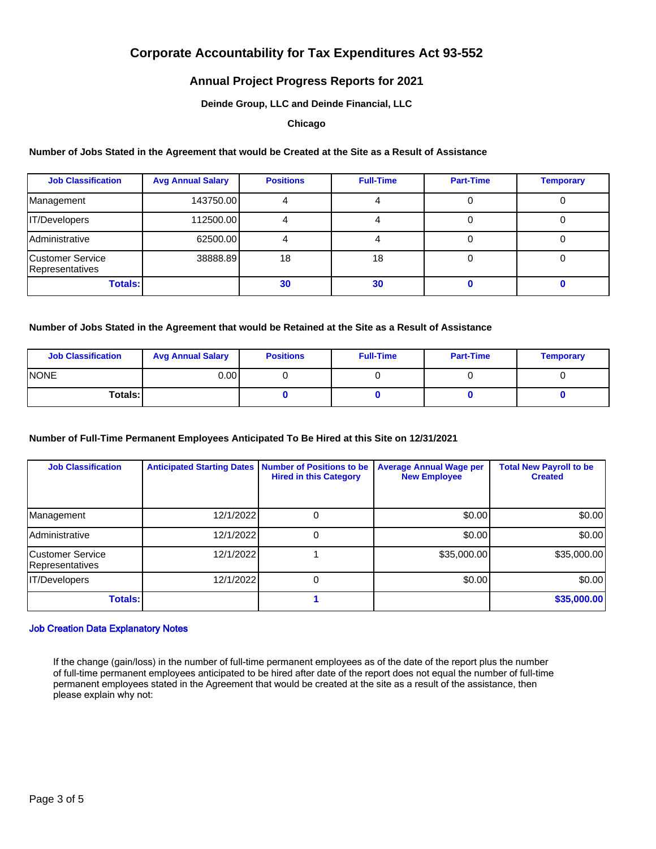### **Annual Project Progress Reports for 2021**

#### **Deinde Group, LLC and Deinde Financial, LLC**

#### **Chicago**

#### **Number of Jobs Stated in the Agreement that would be Created at the Site as a Result of Assistance**

| <b>Job Classification</b>           | <b>Avg Annual Salary</b> | <b>Positions</b> | <b>Full-Time</b> | <b>Part-Time</b> | <b>Temporary</b> |
|-------------------------------------|--------------------------|------------------|------------------|------------------|------------------|
| Management                          | 143750.00                |                  |                  |                  |                  |
| <b>IT/Developers</b>                | 112500.00                |                  |                  |                  |                  |
| Administrative                      | 62500.00                 |                  |                  |                  |                  |
| Customer Service<br>Representatives | 38888.89                 | 18               | 18               |                  |                  |
| <b>Totals:</b>                      |                          | 30               | 30               |                  |                  |

#### **Number of Jobs Stated in the Agreement that would be Retained at the Site as a Result of Assistance**

| <b>Job Classification</b> | <b>Avg Annual Salary</b> | <b>Positions</b> | <b>Full-Time</b> | <b>Part-Time</b> | <b>Temporary</b> |
|---------------------------|--------------------------|------------------|------------------|------------------|------------------|
| <b>INONE</b>              | 0.00 l                   |                  |                  |                  |                  |
| Totals: I                 |                          |                  |                  |                  |                  |

### **Number of Full-Time Permanent Employees Anticipated To Be Hired at this Site on 12/31/2021**

| <b>Job Classification</b>                   | <b>Anticipated Starting Dates</b> | <b>Number of Positions to be</b><br><b>Hired in this Category</b> | <b>Average Annual Wage per</b><br><b>New Employee</b> | <b>Total New Payroll to be</b><br><b>Created</b> |
|---------------------------------------------|-----------------------------------|-------------------------------------------------------------------|-------------------------------------------------------|--------------------------------------------------|
| Management                                  | 12/1/2022                         |                                                                   | \$0.00                                                | \$0.00]                                          |
| <b>Administrative</b>                       | 12/1/2022                         | 0                                                                 | \$0.00                                                | \$0.00]                                          |
| <b>ICustomer Service</b><br>Representatives | 12/1/2022                         |                                                                   | \$35,000.00]                                          | \$35,000.00]                                     |
| IT/Developers                               | 12/1/2022                         | 0                                                                 | \$0.00                                                | \$0.00]                                          |
| <b>Totals:</b>                              |                                   |                                                                   |                                                       | \$35,000.00                                      |

#### Job Creation Data Explanatory Notes

If the change (gain/loss) in the number of full-time permanent employees as of the date of the report plus the number of full-time permanent employees anticipated to be hired after date of the report does not equal the number of full-time permanent employees stated in the Agreement that would be created at the site as a result of the assistance, then please explain why not: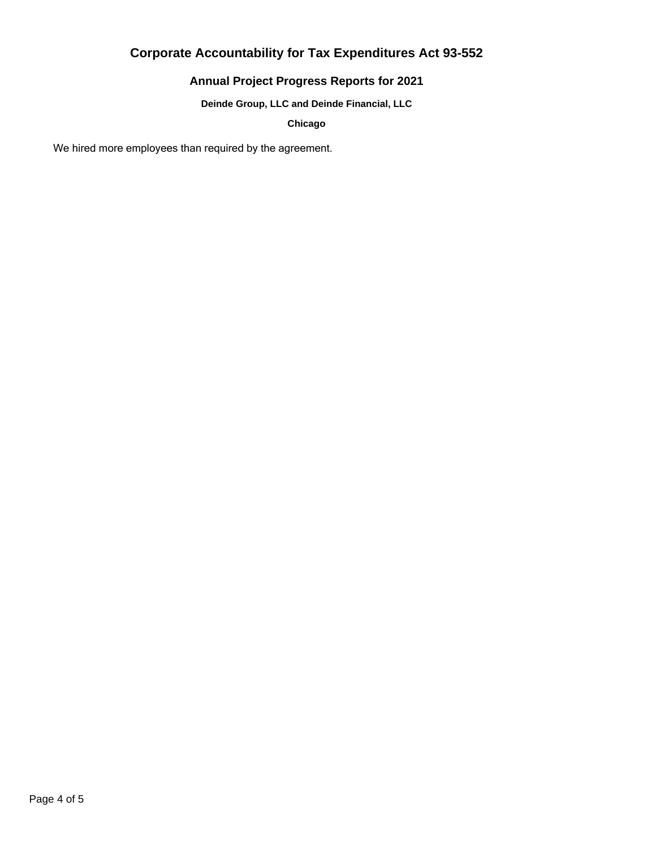## **Annual Project Progress Reports for 2021**

**Deinde Group, LLC and Deinde Financial, LLC**

**Chicago**

We hired more employees than required by the agreement.